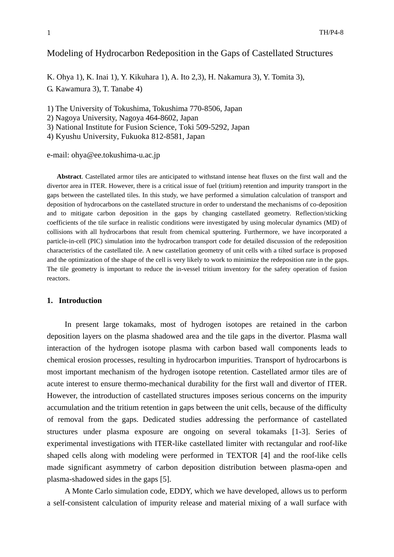## Modeling of Hydrocarbon Redeposition in the Gaps of Castellated Structures

K. Ohya 1), K. Inai 1), Y. Kikuhara 1), A. Ito 2,3), H. Nakamura 3), Y. Tomita 3), G. Kawamura 3), T. Tanabe 4)

1) The University of Tokushima, Tokushima 770-8506, Japan

2) Nagoya University, Nagoya 464-8602, Japan

3) National Institute for Fusion Science, Toki 509-5292, Japan

4) Kyushu University, Fukuoka 812-8581, Japan

e-mail: ohya@ee.tokushima-u.ac.jp

**Abstract**. Castellated armor tiles are anticipated to withstand intense heat fluxes on the first wall and the divertor area in ITER. However, there is a critical issue of fuel (tritium) retention and impurity transport in the gaps between the castellated tiles. In this study, we have performed a simulation calculation of transport and deposition of hydrocarbons on the castellated structure in order to understand the mechanisms of co-deposition and to mitigate carbon deposition in the gaps by changing castellated geometry. Reflection/sticking coefficients of the tile surface in realistic conditions were investigated by using molecular dynamics (MD) of collisions with all hydrocarbons that result from chemical sputtering. Furthermore, we have incorporated a particle-in-cell (PIC) simulation into the hydrocarbon transport code for detailed discussion of the redeposition characteristics of the castellated tile. A new castellation geometry of unit cells with a tilted surface is proposed and the optimization of the shape of the cell is very likely to work to minimize the redeposition rate in the gaps. The tile geometry is important to reduce the in-vessel tritium inventory for the safety operation of fusion reactors.

## **1. Introduction**

In present large tokamaks, most of hydrogen isotopes are retained in the carbon deposition layers on the plasma shadowed area and the tile gaps in the divertor. Plasma wall interaction of the hydrogen isotope plasma with carbon based wall components leads to chemical erosion processes, resulting in hydrocarbon impurities. Transport of hydrocarbons is most important mechanism of the hydrogen isotope retention. Castellated armor tiles are of acute interest to ensure thermo-mechanical durability for the first wall and divertor of ITER. However, the introduction of castellated structures imposes serious concerns on the impurity accumulation and the tritium retention in gaps between the unit cells, because of the difficulty of removal from the gaps. Dedicated studies addressing the performance of castellated structures under plasma exposure are ongoing on several tokamaks [1-3]. Series of experimental investigations with ITER-like castellated limiter with rectangular and roof-like shaped cells along with modeling were performed in TEXTOR [4] and the roof-like cells made significant asymmetry of carbon deposition distribution between plasma-open and plasma-shadowed sides in the gaps [5].

A Monte Carlo simulation code, EDDY, which we have developed, allows us to perform a self-consistent calculation of impurity release and material mixing of a wall surface with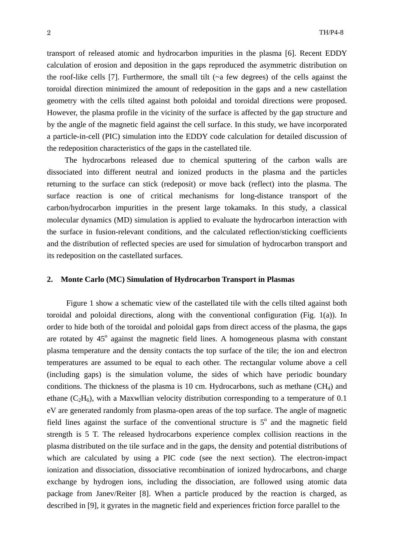transport of released atomic and hydrocarbon impurities in the plasma [6]. Recent EDDY calculation of erosion and deposition in the gaps reproduced the asymmetric distribution on the roof-like cells [7]. Furthermore, the small tilt  $(\sim a$  few degrees) of the cells against the toroidal direction minimized the amount of redeposition in the gaps and a new castellation geometry with the cells tilted against both poloidal and toroidal directions were proposed. However, the plasma profile in the vicinity of the surface is affected by the gap structure and by the angle of the magnetic field against the cell surface. In this study, we have incorporated a particle-in-cell (PIC) simulation into the EDDY code calculation for detailed discussion of the redeposition characteristics of the gaps in the castellated tile.

The hydrocarbons released due to chemical sputtering of the carbon walls are dissociated into different neutral and ionized products in the plasma and the particles returning to the surface can stick (redeposit) or move back (reflect) into the plasma. The surface reaction is one of critical mechanisms for long-distance transport of the carbon/hydrocarbon impurities in the present large tokamaks. In this study, a classical molecular dynamics (MD) simulation is applied to evaluate the hydrocarbon interaction with the surface in fusion-relevant conditions, and the calculated reflection/sticking coefficients and the distribution of reflected species are used for simulation of hydrocarbon transport and its redeposition on the castellated surfaces.

## **2. Monte Carlo (MC) Simulation of Hydrocarbon Transport in Plasmas**

Figure 1 show a schematic view of the castellated tile with the cells tilted against both toroidal and poloidal directions, along with the conventional configuration (Fig. 1(a)). In order to hide both of the toroidal and poloidal gaps from direct access of the plasma, the gaps are rotated by  $45^\circ$  against the magnetic field lines. A homogeneous plasma with constant plasma temperature and the density contacts the top surface of the tile; the ion and electron temperatures are assumed to be equal to each other. The rectangular volume above a cell (including gaps) is the simulation volume, the sides of which have periodic boundary conditions. The thickness of the plasma is 10 cm. Hydrocarbons, such as methane  $(CH_4)$  and ethane  $(C_2H_6)$ , with a Maxwllian velocity distribution corresponding to a temperature of 0.1 eV are generated randomly from plasma-open areas of the top surface. The angle of magnetic field lines against the surface of the conventional structure is  $5^\circ$  and the magnetic field strength is 5 T. The released hydrocarbons experience complex collision reactions in the plasma distributed on the tile surface and in the gaps, the density and potential distributions of which are calculated by using a PIC code (see the next section). The electron-impact ionization and dissociation, dissociative recombination of ionized hydrocarbons, and charge exchange by hydrogen ions, including the dissociation, are followed using atomic data package from Janev/Reiter [8]. When a particle produced by the reaction is charged, as described in [9], it gyrates in the magnetic field and experiences friction force parallel to the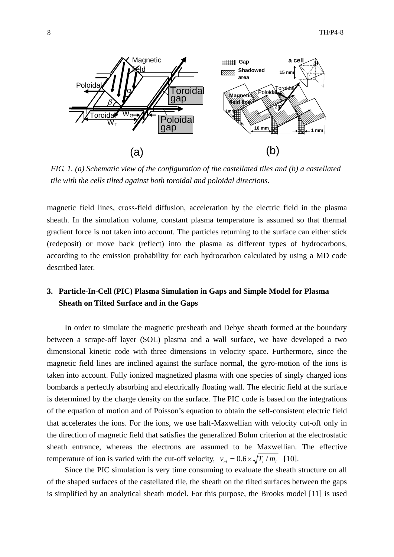

*FIG. 1. (a) Schematic view of the configuration of the castellated tiles and (b) a castellated tile with the cells tilted against both toroidal and poloidal directions.* 

magnetic field lines, cross-field diffusion, acceleration by the electric field in the plasma sheath. In the simulation volume, constant plasma temperature is assumed so that thermal gradient force is not taken into account. The particles returning to the surface can either stick (redeposit) or move back (reflect) into the plasma as different types of hydrocarbons, according to the emission probability for each hydrocarbon calculated by using a MD code described later.

# **3. Particle-In-Cell (PIC) Plasma Simulation in Gaps and Simple Model for Plasma Sheath on Tilted Surface and in the Gaps**

In order to simulate the magnetic presheath and Debye sheath formed at the boundary between a scrape-off layer (SOL) plasma and a wall surface, we have developed a two dimensional kinetic code with three dimensions in velocity space. Furthermore, since the magnetic field lines are inclined against the surface normal, the gyro-motion of the ions is taken into account. Fully ionized magnetized plasma with one species of singly charged ions bombards a perfectly absorbing and electrically floating wall. The electric field at the surface is determined by the charge density on the surface. The PIC code is based on the integrations of the equation of motion and of Poisson's equation to obtain the self-consistent electric field that accelerates the ions. For the ions, we use half-Maxwellian with velocity cut-off only in the direction of magnetic field that satisfies the generalized Bohm criterion at the electrostatic sheath entrance, whereas the electrons are assumed to be Maxwellian. The effective temperature of ion is varied with the cut-off velocity,  $v_{ci} = 0.6 \times \sqrt{T_i/m_i}$  [10].

Since the PIC simulation is very time consuming to evaluate the sheath structure on all of the shaped surfaces of the castellated tile, the sheath on the tilted surfaces between the gaps is simplified by an analytical sheath model. For this purpose, the Brooks model [11] is used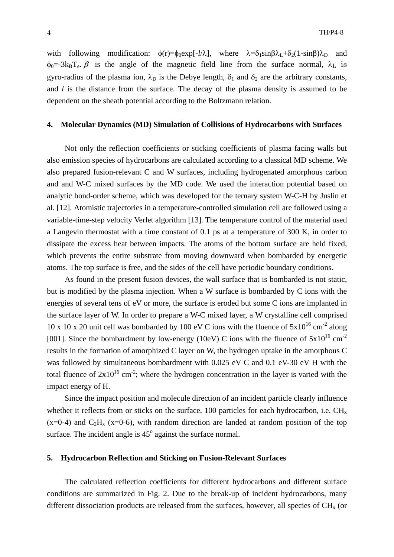with following modification:  $\phi(r) = \phi_0 \exp[-l/\lambda]$ , where  $\lambda = \delta_1 \sin \beta \lambda_L + \delta_2 (1 - \sin \beta) \lambda_D$  and  $\phi_0$ =-3k<sub>B</sub>T<sub>e</sub>.  $\beta$  is the angle of the magnetic field line from the surface normal,  $\lambda_L$  is gyro-radius of the plasma ion,  $\lambda_D$  is the Debye length,  $\delta_1$  and  $\delta_2$  are the arbitrary constants, and *l* is the distance from the surface. The decay of the plasma density is assumed to be dependent on the sheath potential according to the Boltzmann relation.

#### **4. Molecular Dynamics (MD) Simulation of Collisions of Hydrocarbons with Surfaces**

Not only the reflection coefficients or sticking coefficients of plasma facing walls but also emission species of hydrocarbons are calculated according to a classical MD scheme. We also prepared fusion-relevant C and W surfaces, including hydrogenated amorphous carbon and and W-C mixed surfaces by the MD code. We used the interaction potential based on analytic bond-order scheme, which was developed for the ternary system W-C-H by Juslin et al. [12]. Atomistic trajectories in a temperature-controlled simulation cell are followed using a variable-time-step velocity Verlet algorithm [13]. The temperature control of the material used a Langevin thermostat with a time constant of 0.1 ps at a temperature of 300 K, in order to dissipate the excess heat between impacts. The atoms of the bottom surface are held fixed, which prevents the entire substrate from moving downward when bombarded by energetic atoms. The top surface is free, and the sides of the cell have periodic boundary conditions.

As found in the present fusion devices, the wall surface that is bombarded is not static, but is modified by the plasma injection. When a W surface is bombarded by C ions with the energies of several tens of eV or more, the surface is eroded but some C ions are implanted in the surface layer of W. In order to prepare a W-C mixed layer, a W crystalline cell comprised 10 x 10 x 20 unit cell was bombarded by 100 eV C ions with the fluence of  $5x10^{16}$  cm<sup>-2</sup> along [001]. Since the bombardment by low-energy (10eV) C ions with the fluence of  $5x10^{16}$  cm<sup>-2</sup> results in the formation of amorphized C layer on W, the hydrogen uptake in the amorphous C was followed by simultaneous bombardment with 0.025 eV C and 0.1 eV-30 eV H with the total fluence of  $2x10^{16}$  cm<sup>-2</sup>; where the hydrogen concentration in the layer is varied with the impact energy of H.

Since the impact position and molecule direction of an incident particle clearly influence whether it reflects from or sticks on the surface, 100 particles for each hydrocarbon, i.e.  $CH<sub>x</sub>$  $(x=0-4)$  and  $C_2H_x$   $(x=0-6)$ , with random direction are landed at random position of the top surface. The incident angle is  $45^\circ$  against the surface normal.

### **5. Hydrocarbon Reflection and Sticking on Fusion-Relevant Surfaces**

The calculated reflection coefficients for different hydrocarbons and different surface conditions are summarized in Fig. 2. Due to the break-up of incident hydrocarbons, many different dissociation products are released from the surfaces, however, all species of  $CH<sub>x</sub>$  (or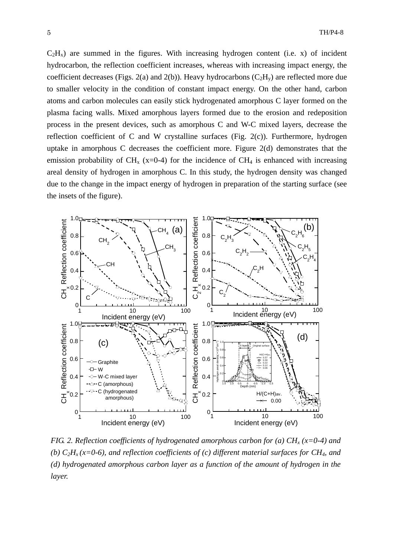$C_2H_x$ ) are summed in the figures. With increasing hydrogen content (i.e. x) of incident hydrocarbon, the reflection coefficient increases, whereas with increasing impact energy, the coefficient decreases (Figs. 2(a) and 2(b)). Heavy hydrocarbons ( $C_2H_v$ ) are reflected more due to smaller velocity in the condition of constant impact energy. On the other hand, carbon atoms and carbon molecules can easily stick hydrogenated amorphous C layer formed on the plasma facing walls. Mixed amorphous layers formed due to the erosion and redeposition process in the present devices, such as amorphous C and W-C mixed layers, decrease the reflection coefficient of C and W crystalline surfaces (Fig. 2(c)). Furthermore, hydrogen uptake in amorphous C decreases the coefficient more. Figure 2(d) demonstrates that the emission probability of CH<sub>x</sub> (x=0-4) for the incidence of CH<sub>4</sub> is enhanced with increasing areal density of hydrogen in amorphous C. In this study, the hydrogen density was changed due to the change in the impact energy of hydrogen in preparation of the starting surface (see the insets of the figure).



*FIG. 2. Reflection coefficients of hydrogenated amorphous carbon for (a)*  $CH<sub>x</sub>$  *(x=0-4) and (b)*  $C_2H_x(x=0-6)$ *, and reflection coefficients of (c) different material surfaces for CH<sub>4</sub>, and (d) hydrogenated amorphous carbon layer as a function of the amount of hydrogen in the layer.*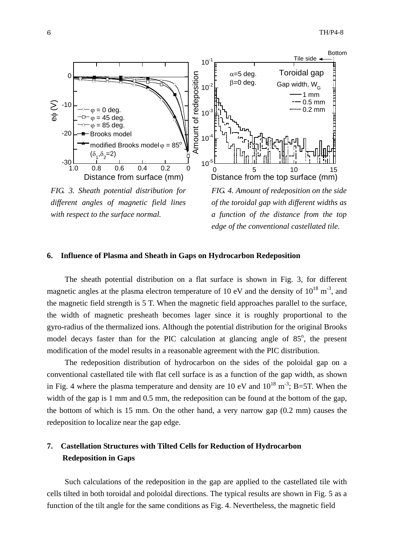

*different angles of magnetic field lines with respect to the surface normal.* 

*of the toroidal gap with different widths as a function of the distance from the top edge of the conventional castellated tile.* 

## **6. Influence of Plasma and Sheath in Gaps on Hydrocarbon Redeposition**

The sheath potential distribution on a flat surface is shown in Fig. 3, for different magnetic angles at the plasma electron temperature of 10 eV and the density of  $10^{18}$  m<sup>-3</sup>, and the magnetic field strength is 5 T. When the magnetic field approaches parallel to the surface, the width of magnetic presheath becomes lager since it is roughly proportional to the gyro-radius of the thermalized ions. Although the potential distribution for the original Brooks model decays faster than for the PIC calculation at glancing angle of  $85^\circ$ , the present modification of the model results in a reasonable agreement with the PIC distribution.

The redeposition distribution of hydrocarbon on the sides of the poloidal gap on a conventional castellated tile with flat cell surface is as a function of the gap width, as shown in Fig. 4 where the plasma temperature and density are 10 eV and  $10^{18}$  m<sup>-3</sup>; B=5T. When the width of the gap is 1 mm and 0.5 mm, the redeposition can be found at the bottom of the gap, the bottom of which is 15 mm. On the other hand, a very narrow gap (0.2 mm) causes the redeposition to localize near the gap edge.

# **7. Castellation Structures with Tilted Cells for Reduction of Hydrocarbon Redeposition in Gaps**

Such calculations of the redeposition in the gap are applied to the castellated tile with cells tilted in both toroidal and poloidal directions. The typical results are shown in Fig. 5 as a function of the tilt angle for the same conditions as Fig. 4. Nevertheless, the magnetic field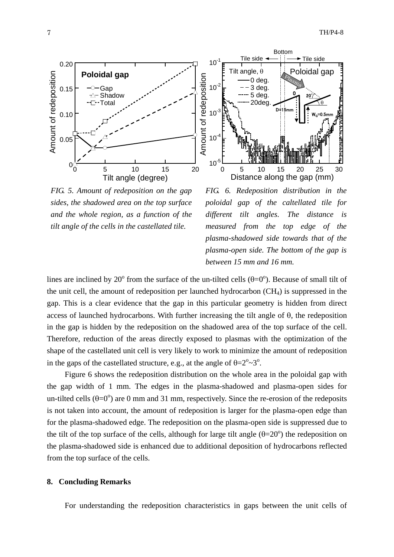

*FIG. 5. Amount of redeposition on the gap sides, the shadowed area on the top surface and the whole region, as a function of the tilt angle of the cells in the castellated tile.* 



*FIG. 6. Redeposition distribution in the poloidal gap of the caltellated tile for different tilt angles. The distance is measured from the top edge of the plasma-shadowed side towards that of the plasma-open side. The bottom of the gap is between 15 mm and 16 mm.* 

lines are inclined by 20<sup>°</sup> from the surface of the un-tilted cells  $(\theta=0^{\circ})$ . Because of small tilt of the unit cell, the amount of redeposition per launched hydrocarbon  $(CH<sub>4</sub>)$  is suppressed in the gap. This is a clear evidence that the gap in this particular geometry is hidden from direct access of launched hydrocarbons. With further increasing the tilt angle of  $\theta$ , the redeposition in the gap is hidden by the redeposition on the shadowed area of the top surface of the cell. Therefore, reduction of the areas directly exposed to plasmas with the optimization of the shape of the castellated unit cell is very likely to work to minimize the amount of redeposition in the gaps of the castellated structure, e.g., at the angle of  $\theta = 2^{\circ} \sim 3^{\circ}$ .

Figure 6 shows the redeposition distribution on the whole area in the poloidal gap with the gap width of 1 mm. The edges in the plasma-shadowed and plasma-open sides for un-tilted cells  $(\theta=0^{\degree})$  are 0 mm and 31 mm, respectively. Since the re-erosion of the redeposits is not taken into account, the amount of redeposition is larger for the plasma-open edge than for the plasma-shadowed edge. The redeposition on the plasma-open side is suppressed due to the tilt of the top surface of the cells, although for large tilt angle  $(\theta = 20^{\circ})$  the redeposition on the plasma-shadowed side is enhanced due to additional deposition of hydrocarbons reflected from the top surface of the cells.

## **8. Concluding Remarks**

For understanding the redeposition characteristics in gaps between the unit cells of